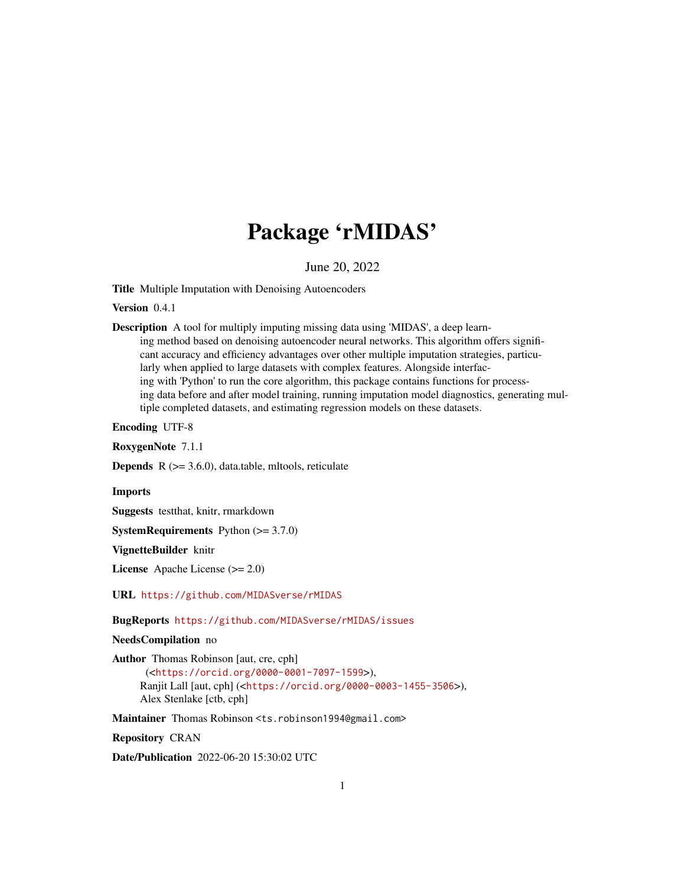# Package 'rMIDAS'

June 20, 2022

Title Multiple Imputation with Denoising Autoencoders

Version 0.4.1

Description A tool for multiply imputing missing data using 'MIDAS', a deep learning method based on denoising autoencoder neural networks. This algorithm offers significant accuracy and efficiency advantages over other multiple imputation strategies, particularly when applied to large datasets with complex features. Alongside interfacing with 'Python' to run the core algorithm, this package contains functions for processing data before and after model training, running imputation model diagnostics, generating multiple completed datasets, and estimating regression models on these datasets.

Encoding UTF-8

RoxygenNote 7.1.1

**Depends**  $R$  ( $>= 3.6.0$ ), data.table, mltools, reticulate

Imports

Suggests testthat, knitr, rmarkdown

**SystemRequirements** Python  $(>= 3.7.0)$ 

VignetteBuilder knitr

License Apache License (>= 2.0)

URL <https://github.com/MIDASverse/rMIDAS>

BugReports <https://github.com/MIDASverse/rMIDAS/issues>

NeedsCompilation no

Author Thomas Robinson [aut, cre, cph] (<<https://orcid.org/0000-0001-7097-1599>>), Ranjit Lall [aut, cph] (<<https://orcid.org/0000-0003-1455-3506>>), Alex Stenlake [ctb, cph]

Maintainer Thomas Robinson <ts.robinson1994@gmail.com>

Repository CRAN

Date/Publication 2022-06-20 15:30:02 UTC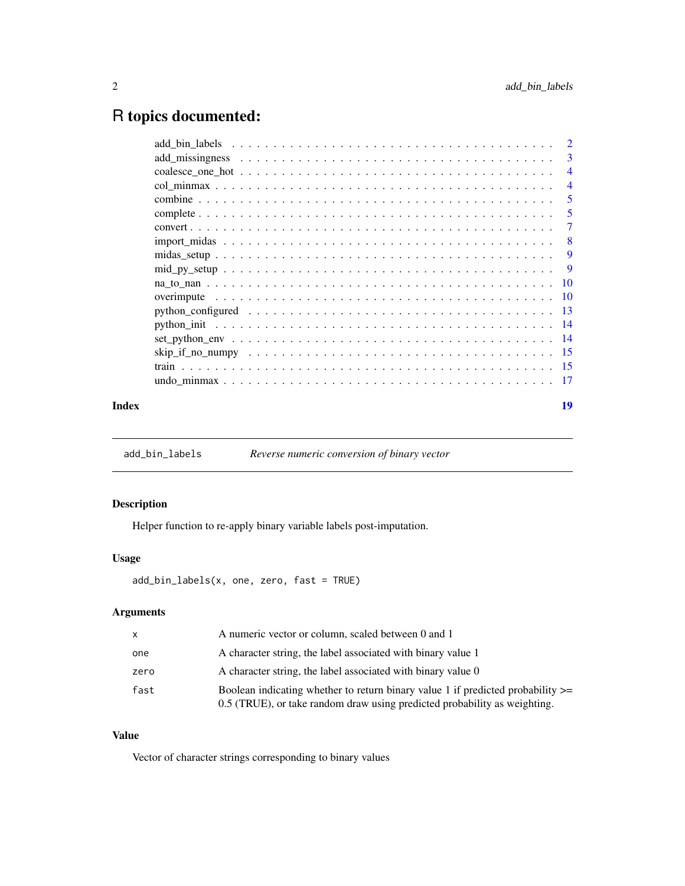## <span id="page-1-0"></span>R topics documented:

|       |                                                                                                             | <sup>2</sup>   |
|-------|-------------------------------------------------------------------------------------------------------------|----------------|
|       |                                                                                                             | 3              |
|       |                                                                                                             | $\overline{4}$ |
|       |                                                                                                             | $\overline{4}$ |
|       |                                                                                                             | 5              |
|       |                                                                                                             | 5              |
|       |                                                                                                             | 7              |
|       |                                                                                                             | -8             |
|       |                                                                                                             | 9              |
|       | $mid\_py\_setup \ldots \ldots \ldots \ldots \ldots \ldots \ldots \ldots \ldots \ldots \ldots \ldots \ldots$ | -9             |
|       |                                                                                                             |                |
|       |                                                                                                             |                |
|       |                                                                                                             |                |
|       |                                                                                                             |                |
|       |                                                                                                             |                |
|       |                                                                                                             |                |
|       |                                                                                                             |                |
|       |                                                                                                             | -17            |
| Index |                                                                                                             | 19             |

add\_bin\_labels *Reverse numeric conversion of binary vector*

#### Description

Helper function to re-apply binary variable labels post-imputation.

#### Usage

add\_bin\_labels(x, one, zero, fast = TRUE)

#### Arguments

| $\mathsf{x}$ | A numeric vector or column, scaled between 0 and 1                                                                                                                |
|--------------|-------------------------------------------------------------------------------------------------------------------------------------------------------------------|
| one          | A character string, the label associated with binary value 1                                                                                                      |
| zero         | A character string, the label associated with binary value 0                                                                                                      |
| fast         | Boolean indicating whether to return binary value 1 if predicted probability $\ge$ =<br>0.5 (TRUE), or take random draw using predicted probability as weighting. |

#### Value

Vector of character strings corresponding to binary values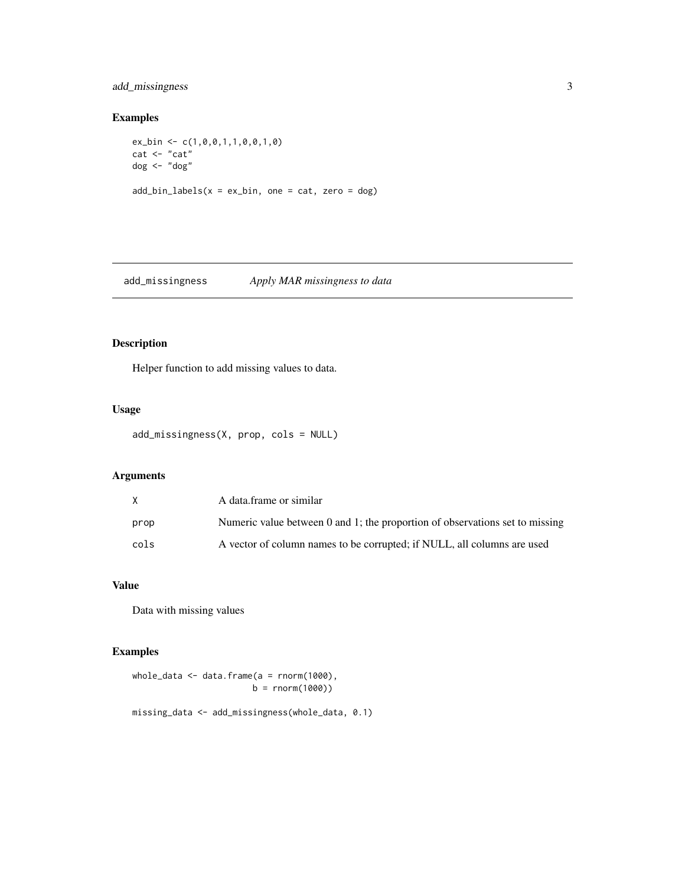#### <span id="page-2-0"></span>add\_missingness 3

#### Examples

```
ex_bin <- c(1,0,0,1,1,0,0,1,0)
cat <- "cat"
dog <- "dog"
add\_bin\_labels(x = ex\_bin, one = cat, zero = dog)
```
add\_missingness *Apply MAR missingness to data*

#### Description

Helper function to add missing values to data.

#### Usage

```
add_missingness(X, prop, cols = NULL)
```
#### Arguments

|      | A data frame or similar                                                        |
|------|--------------------------------------------------------------------------------|
| prop | Numeric value between $0$ and 1; the proportion of observations set to missing |
| cols | A vector of column names to be corrupted; if NULL, all columns are used        |

#### Value

Data with missing values

#### Examples

whole\_data <- data.frame(a = rnorm(1000),  $b = rnorm(1000)$ 

missing\_data <- add\_missingness(whole\_data, 0.1)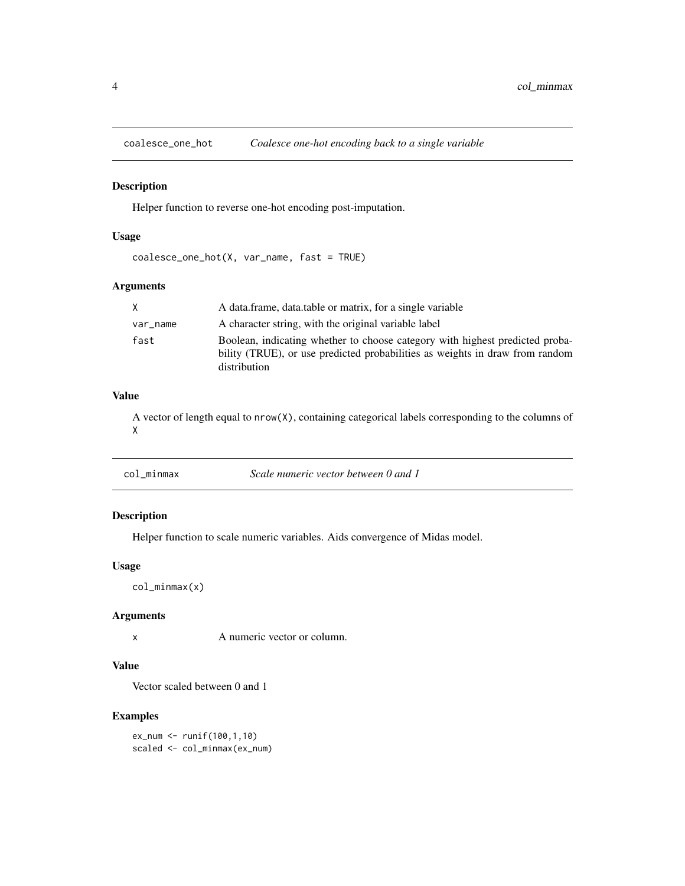<span id="page-3-0"></span>

#### Description

Helper function to reverse one-hot encoding post-imputation.

#### Usage

coalesce\_one\_hot(X, var\_name, fast = TRUE)

#### Arguments

|          | A data frame, data table or matrix, for a single variable                                                                                                                    |
|----------|------------------------------------------------------------------------------------------------------------------------------------------------------------------------------|
| var_name | A character string, with the original variable label                                                                                                                         |
| fast     | Boolean, indicating whether to choose category with highest predicted proba-<br>bility (TRUE), or use predicted probabilities as weights in draw from random<br>distribution |

#### Value

A vector of length equal to nrow(X), containing categorical labels corresponding to the columns of X

col\_minmax *Scale numeric vector between 0 and 1*

#### Description

Helper function to scale numeric variables. Aids convergence of Midas model.

#### Usage

col\_minmax(x)

#### Arguments

x A numeric vector or column.

#### Value

Vector scaled between 0 and 1

#### Examples

ex\_num <- runif(100,1,10) scaled <- col\_minmax(ex\_num)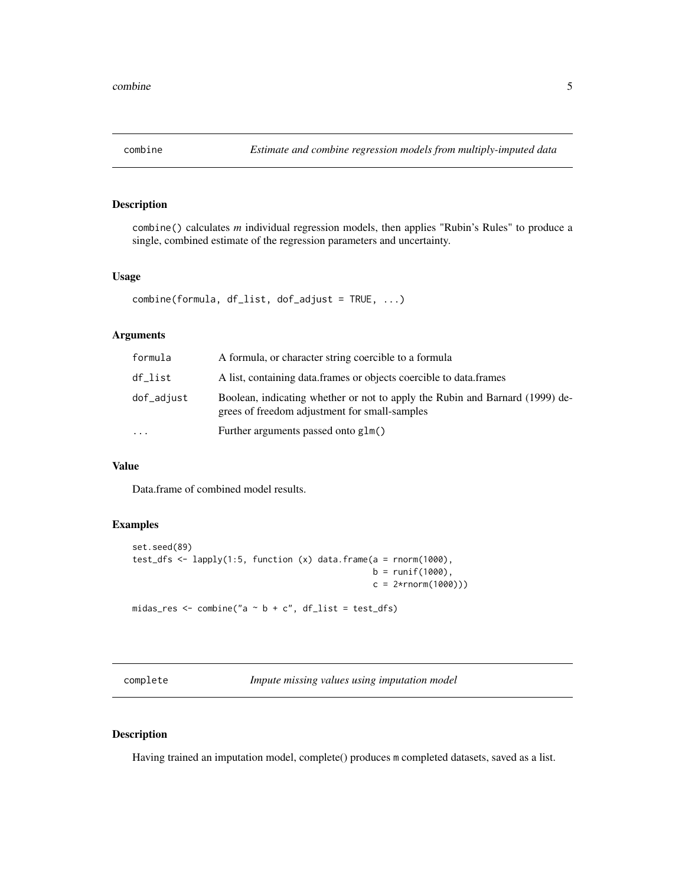<span id="page-4-0"></span>

#### Description

combine() calculates *m* individual regression models, then applies "Rubin's Rules" to produce a single, combined estimate of the regression parameters and uncertainty.

#### Usage

```
combine(formula, df_list, dof_adjust = TRUE, ...)
```
#### Arguments

| formula    | A formula, or character string coercible to a formula                                                                         |
|------------|-------------------------------------------------------------------------------------------------------------------------------|
| df list    | A list, containing data frames or objects coercible to data frames                                                            |
| dof_adjust | Boolean, indicating whether or not to apply the Rubin and Barnard (1999) de-<br>grees of freedom adjustment for small-samples |
| .          | Further arguments passed onto glm()                                                                                           |

#### Value

Data.frame of combined model results.

#### Examples

```
set.seed(89)
test_dfs <- lapply(1:5, function (x) data.frame(a = rnorm(1000),
                                                b = runif(1000),
                                                c = 2*rnorm(1000))midas_res <- combine("a \sim b + c", df_list = test_dfs)
```
complete *Impute missing values using imputation model*

#### Description

Having trained an imputation model, complete() produces m completed datasets, saved as a list.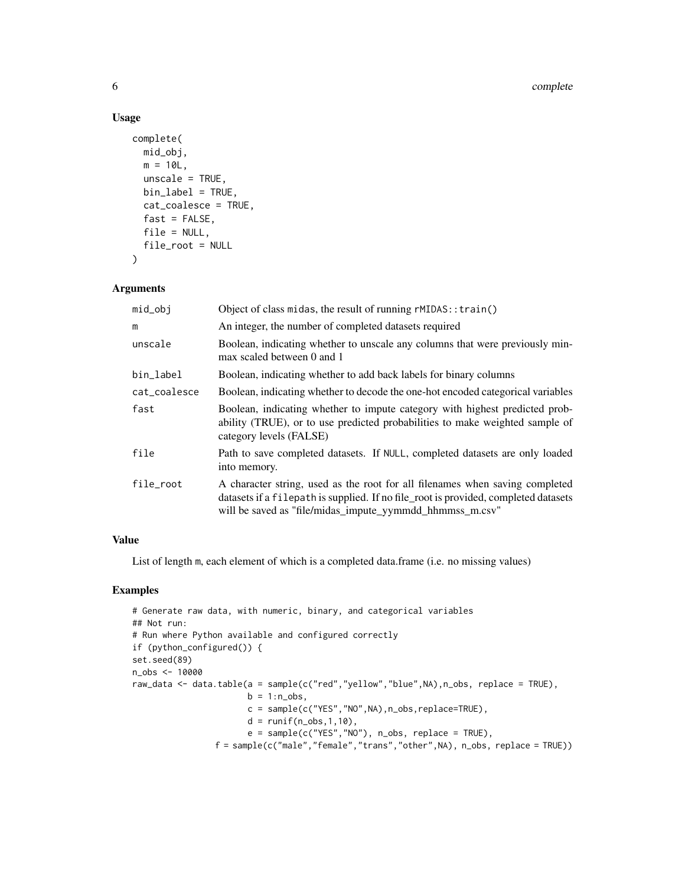#### Usage

```
complete(
 mid_obj,
 m = 10L,unscale = TRUE,
 bin_label = TRUE,
 cat_coalesce = TRUE,
 fast = FALSE,file = NULL,
 file_root = NULL
)
```
#### Arguments

| mid_obj      | Object of class midas, the result of running rMIDAS:: train()                                                                                                                                                                   |
|--------------|---------------------------------------------------------------------------------------------------------------------------------------------------------------------------------------------------------------------------------|
| m            | An integer, the number of completed datasets required                                                                                                                                                                           |
| unscale      | Boolean, indicating whether to unscale any columns that were previously min-<br>max scaled between 0 and 1                                                                                                                      |
| bin_label    | Boolean, indicating whether to add back labels for binary columns                                                                                                                                                               |
| cat_coalesce | Boolean, indicating whether to decode the one-hot encoded categorical variables                                                                                                                                                 |
| fast         | Boolean, indicating whether to impute category with highest predicted prob-<br>ability (TRUE), or to use predicted probabilities to make weighted sample of<br>category levels (FALSE)                                          |
| file         | Path to save completed datasets. If NULL, completed datasets are only loaded<br>into memory.                                                                                                                                    |
| file_root    | A character string, used as the root for all filenames when saving completed<br>datasets if a filepath is supplied. If no file_root is provided, completed datasets<br>will be saved as "file/midas_impute_yymmdd_hhmmss_m.csv" |

#### Value

List of length m, each element of which is a completed data.frame (i.e. no missing values)

#### Examples

```
# Generate raw data, with numeric, binary, and categorical variables
## Not run:
# Run where Python available and configured correctly
if (python_configured()) {
set.seed(89)
n_obs <- 10000
raw_data <- data.table(a = sample(c("red","yellow","blue",NA),n_obs, replace = TRUE),
                       b = 1:n\_obs,
                       c = sample(c("YES","NO",NA),n_obs,replace=TRUE),
                       d = runif(n_obs, 1, 10),
                       e = sample(c("YES","NO"), n_obs, replace = TRUE),
                f = sample(c("male","female","trans","other",NA), n_obs, replace = TRUE))
```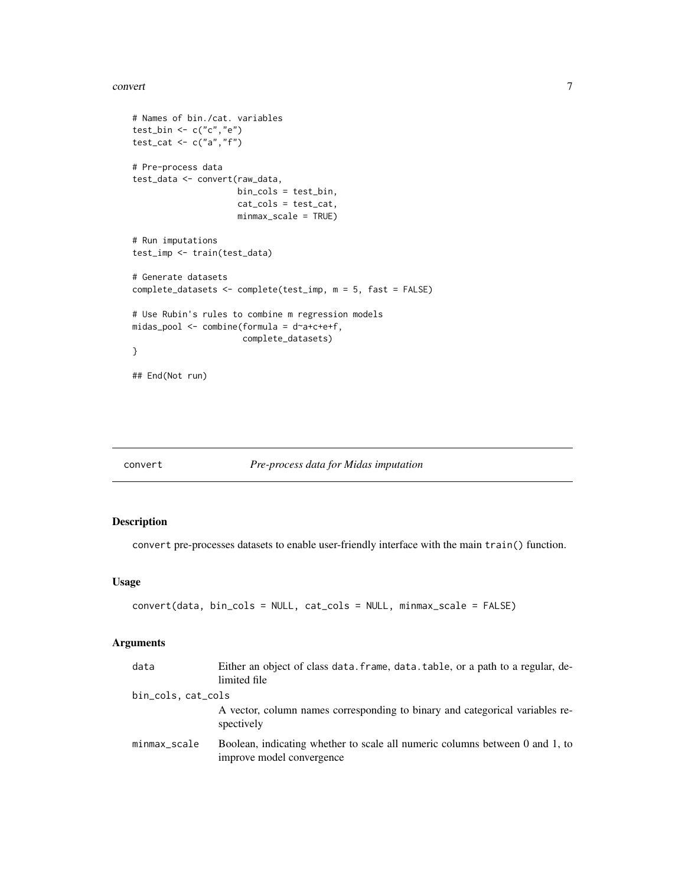#### <span id="page-6-0"></span>convert 2008 and 2008 and 2008 and 2008 and 2008 and 2008 and 2008 and 2008 and 2008 and 2008 and 2008 and 200

```
# Names of bin./cat. variables
test_bin <- c("c","e")
test_cat <- c("a","f")
# Pre-process data
test_data <- convert(raw_data,
                     bin_cols = test_bin,
                     cat_cols = test_cat,
                     minmax_scale = TRUE)
# Run imputations
test_imp <- train(test_data)
# Generate datasets
complete_datasets <- complete(test_imp, m = 5, fast = FALSE)
# Use Rubin's rules to combine m regression models
midas_pool <- combine(formula = d~a+c+e+f,
                     complete_datasets)
}
## End(Not run)
```
#### convert *Pre-process data for Midas imputation*

#### Description

convert pre-processes datasets to enable user-friendly interface with the main train() function.

#### Usage

```
convert(data, bin_cols = NULL, cat_cols = NULL, minmax_scale = FALSE)
```
#### Arguments

| data               | Either an object of class data. frame, data. table, or a path to a regular, de-<br>limited file           |
|--------------------|-----------------------------------------------------------------------------------------------------------|
| bin_cols, cat_cols |                                                                                                           |
|                    | A vector, column names corresponding to binary and categorical variables re-<br>spectively                |
| minmax_scale       | Boolean, indicating whether to scale all numeric columns between 0 and 1, to<br>improve model convergence |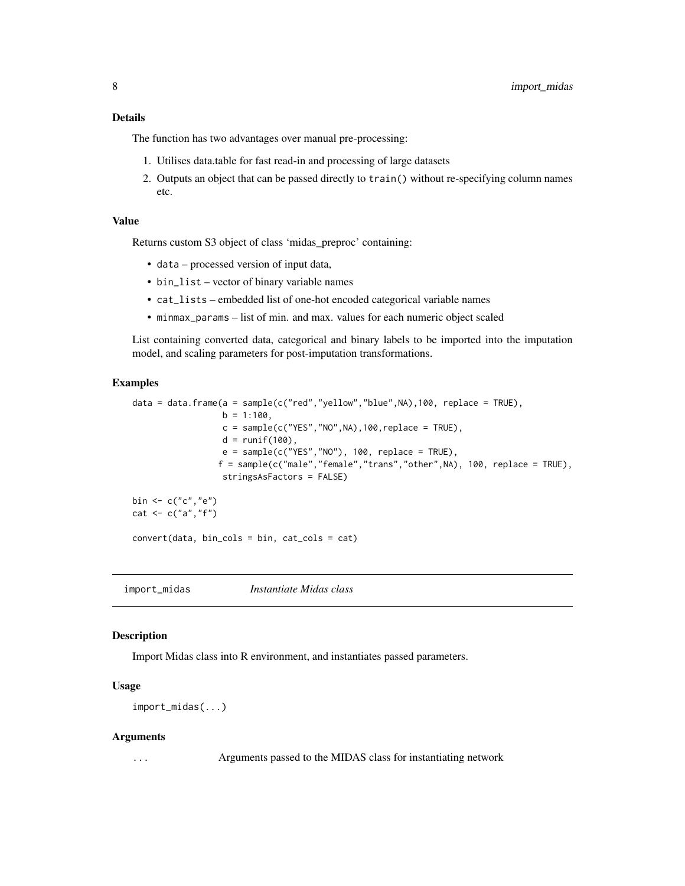#### <span id="page-7-0"></span>Details

The function has two advantages over manual pre-processing:

- 1. Utilises data.table for fast read-in and processing of large datasets
- 2. Outputs an object that can be passed directly to train() without re-specifying column names etc.

#### Value

Returns custom S3 object of class 'midas\_preproc' containing:

- data processed version of input data,
- bin\_list vector of binary variable names
- cat\_lists embedded list of one-hot encoded categorical variable names
- minmax\_params list of min. and max. values for each numeric object scaled

List containing converted data, categorical and binary labels to be imported into the imputation model, and scaling parameters for post-imputation transformations.

#### Examples

```
data = data.frame(a = sample(c("red", "yellow", "blue", NA),100, replace = TRUE),b = 1:100,
                  c = sample(c("YES", "NO", NA), 100, replace = TRUE),d = runif(100),
                  e = sample(c("YES", "NO"), 100, replace = TRUE),
                 f = sample(c("male", "female", "trans", "other", NA), 100, replace = TRUE),stringsAsFactors = FALSE)
bin <- c("c","e")
cat <- c("a", "f")convert(data, bin_cols = bin, cat_cols = cat)
```
import\_midas *Instantiate Midas class*

#### Description

Import Midas class into R environment, and instantiates passed parameters.

#### Usage

import\_midas(...)

#### Arguments

... Arguments passed to the MIDAS class for instantiating network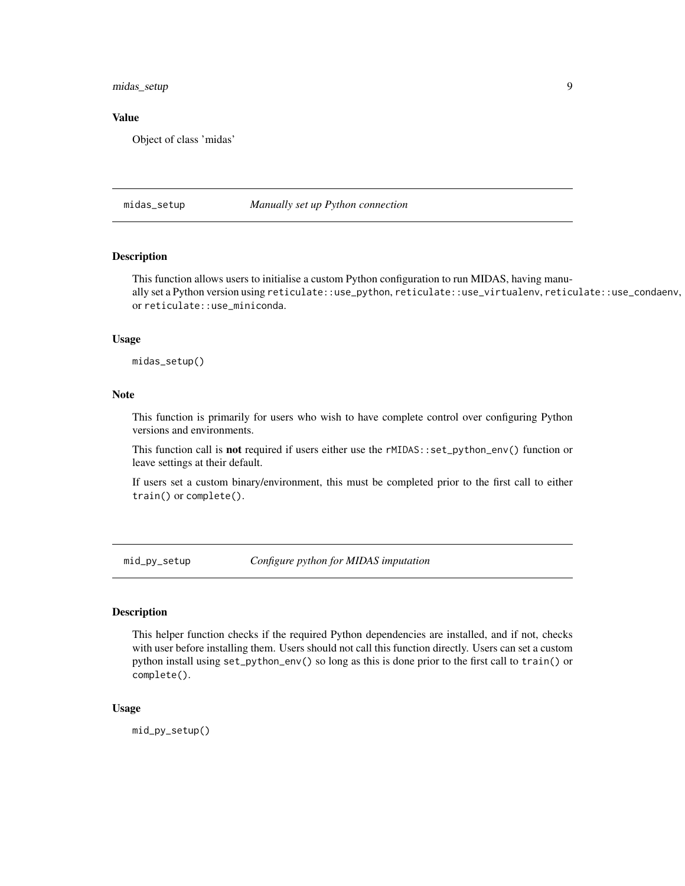<span id="page-8-0"></span>midas\_setup 9

#### Value

Object of class 'midas'

midas\_setup *Manually set up Python connection*

#### Description

This function allows users to initialise a custom Python configuration to run MIDAS, having manually set a Python version using reticulate::use\_python, reticulate::use\_virtualenv, reticulate::use\_condaenv, or reticulate::use\_miniconda.

#### Usage

midas\_setup()

#### Note

This function is primarily for users who wish to have complete control over configuring Python versions and environments.

This function call is not required if users either use the rMIDAS::set\_python\_env() function or leave settings at their default.

If users set a custom binary/environment, this must be completed prior to the first call to either train() or complete().

mid\_py\_setup *Configure python for MIDAS imputation*

#### Description

This helper function checks if the required Python dependencies are installed, and if not, checks with user before installing them. Users should not call this function directly. Users can set a custom python install using set\_python\_env() so long as this is done prior to the first call to train() or complete().

#### Usage

mid\_py\_setup()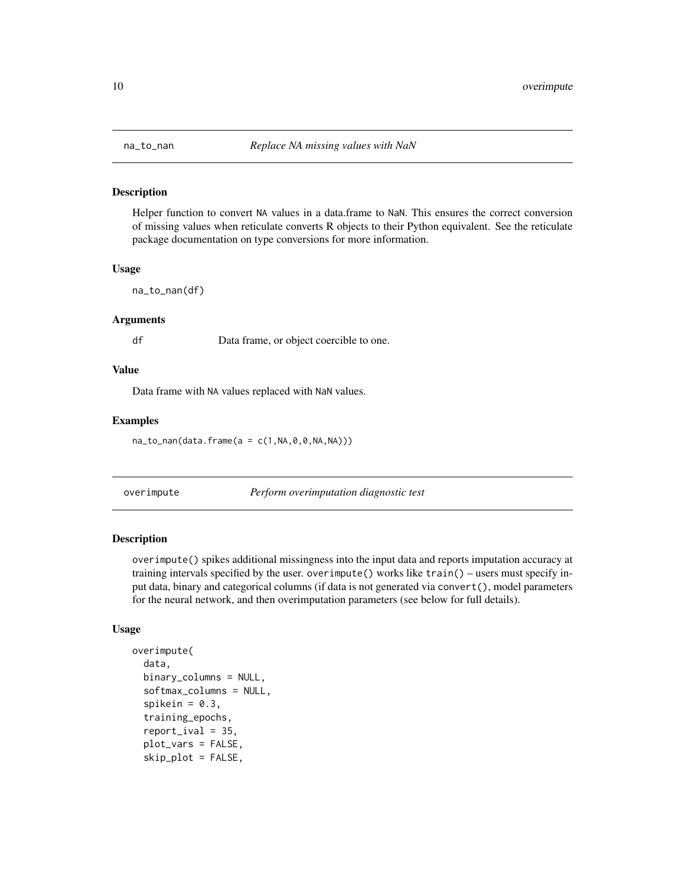<span id="page-9-0"></span>

#### Description

Helper function to convert NA values in a data.frame to NaN. This ensures the correct conversion of missing values when reticulate converts R objects to their Python equivalent. See the reticulate package documentation on type conversions for more information.

#### Usage

na\_to\_nan(df)

#### Arguments

df Data frame, or object coercible to one.

#### Value

Data frame with NA values replaced with NaN values.

#### Examples

 $na_to_name(data,fname(a = c(1,NA, 0, 0, NA, NA)))$ 

overimpute *Perform overimputation diagnostic test*

#### Description

overimpute() spikes additional missingness into the input data and reports imputation accuracy at training intervals specified by the user. overimpute() works like train() – users must specify input data, binary and categorical columns (if data is not generated via convert(), model parameters for the neural network, and then overimputation parameters (see below for full details).

#### Usage

```
overimpute(
  data,
  binary_columns = NULL,
  softmax_columns = NULL,
  spikein = 0.3,
  training_epochs,
  report\_ival = 35,
  plot_vars = FALSE,
  skip_plot = FALSE,
```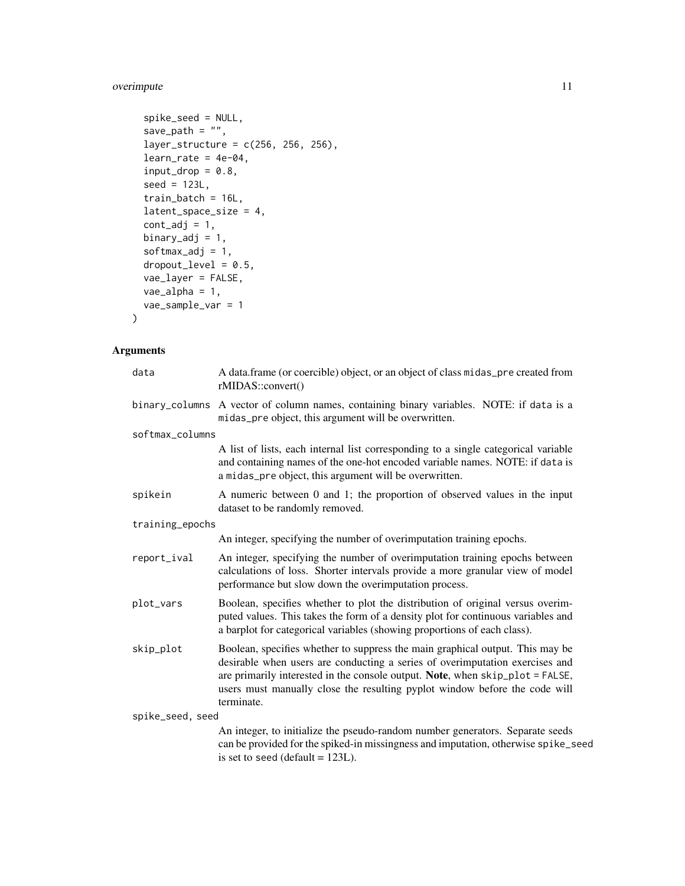#### overimpute 11

```
spike_seed = NULL,
save_path = ",
layer_structure = c(256, 256, 256),
learn_rate = 4e-04,input\_drop = 0.8,
seed = 123L,train_batch = 16L,
latent_space_size = 4,
cont\_adj = 1,
binary_adj = 1,
softmax_adj = 1,
droput\_level = 0.5,
vae_layer = FALSE,
vae_alpha = 1,
vae_sample_var = 1
```
### Arguments

 $\mathcal{L}$ 

| data             | A data.frame (or coercible) object, or an object of class midas_pre created from<br>rMIDAS::convert()                                                                                                                                                                                                                                      |
|------------------|--------------------------------------------------------------------------------------------------------------------------------------------------------------------------------------------------------------------------------------------------------------------------------------------------------------------------------------------|
| binary_columns   | A vector of column names, containing binary variables. NOTE: if data is a<br>midas_pre object, this argument will be overwritten.                                                                                                                                                                                                          |
| softmax_columns  |                                                                                                                                                                                                                                                                                                                                            |
|                  | A list of lists, each internal list corresponding to a single categorical variable<br>and containing names of the one-hot encoded variable names. NOTE: if data is<br>a midas_pre object, this argument will be overwritten.                                                                                                               |
| spikein          | A numeric between 0 and 1; the proportion of observed values in the input<br>dataset to be randomly removed.                                                                                                                                                                                                                               |
| training_epochs  |                                                                                                                                                                                                                                                                                                                                            |
|                  | An integer, specifying the number of overimputation training epochs.                                                                                                                                                                                                                                                                       |
| report_ival      | An integer, specifying the number of overimputation training epochs between<br>calculations of loss. Shorter intervals provide a more granular view of model<br>performance but slow down the overimputation process.                                                                                                                      |
| plot_vars        | Boolean, specifies whether to plot the distribution of original versus overim-<br>puted values. This takes the form of a density plot for continuous variables and<br>a barplot for categorical variables (showing proportions of each class).                                                                                             |
| skip_plot        | Boolean, specifies whether to suppress the main graphical output. This may be<br>desirable when users are conducting a series of overimputation exercises and<br>are primarily interested in the console output. Note, when skip_plot = FALSE,<br>users must manually close the resulting pyplot window before the code will<br>terminate. |
| spike_seed, seed |                                                                                                                                                                                                                                                                                                                                            |
|                  | An integer, to initialize the pseudo-random number generators. Separate seeds<br>can be provided for the spiked-in missingness and imputation, otherwise spike_seed<br>is set to seed (default = $123L$ ).                                                                                                                                 |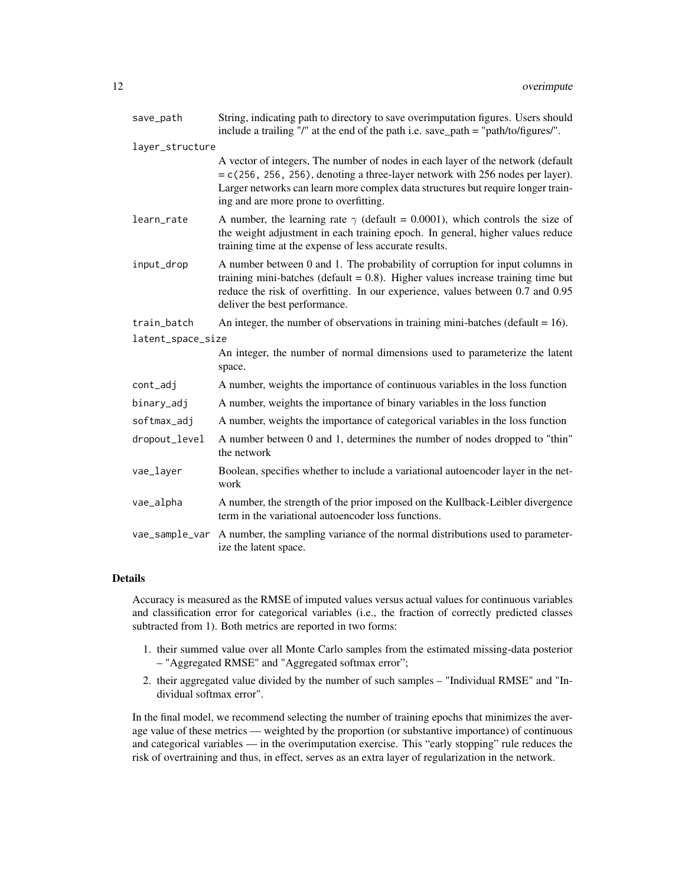| save_path         | String, indicating path to directory to save overimputation figures. Users should<br>include a trailing "/" at the end of the path i.e. save_path = "path/to/figures/".                                                                                                                           |
|-------------------|---------------------------------------------------------------------------------------------------------------------------------------------------------------------------------------------------------------------------------------------------------------------------------------------------|
| layer_structure   |                                                                                                                                                                                                                                                                                                   |
|                   | A vector of integers, The number of nodes in each layer of the network (default<br>$= c(256, 256, 256)$ , denoting a three-layer network with 256 nodes per layer).<br>Larger networks can learn more complex data structures but require longer train-<br>ing and are more prone to overfitting. |
| learn_rate        | A number, the learning rate $\gamma$ (default = 0.0001), which controls the size of<br>the weight adjustment in each training epoch. In general, higher values reduce<br>training time at the expense of less accurate results.                                                                   |
| input_drop        | A number between 0 and 1. The probability of corruption for input columns in<br>training mini-batches (default $= 0.8$ ). Higher values increase training time but<br>reduce the risk of overfitting. In our experience, values between 0.7 and 0.95<br>deliver the best performance.             |
| train_batch       | An integer, the number of observations in training mini-batches (default $= 16$ ).                                                                                                                                                                                                                |
| latent_space_size |                                                                                                                                                                                                                                                                                                   |
|                   | An integer, the number of normal dimensions used to parameterize the latent<br>space.                                                                                                                                                                                                             |
| cont_adj          | A number, weights the importance of continuous variables in the loss function                                                                                                                                                                                                                     |
| binary_adj        | A number, weights the importance of binary variables in the loss function                                                                                                                                                                                                                         |
| softmax_adj       | A number, weights the importance of categorical variables in the loss function                                                                                                                                                                                                                    |
| dropout_level     | A number between 0 and 1, determines the number of nodes dropped to "thin"<br>the network                                                                                                                                                                                                         |
| vae_layer         | Boolean, specifies whether to include a variational autoencoder layer in the net-<br>work                                                                                                                                                                                                         |
| vae_alpha         | A number, the strength of the prior imposed on the Kullback-Leibler divergence<br>term in the variational autoencoder loss functions.                                                                                                                                                             |
| vae_sample_var    | A number, the sampling variance of the normal distributions used to parameter-<br>ize the latent space.                                                                                                                                                                                           |

#### Details

Accuracy is measured as the RMSE of imputed values versus actual values for continuous variables and classification error for categorical variables (i.e., the fraction of correctly predicted classes subtracted from 1). Both metrics are reported in two forms:

- 1. their summed value over all Monte Carlo samples from the estimated missing-data posterior – "Aggregated RMSE" and "Aggregated softmax error";
- 2. their aggregated value divided by the number of such samples "Individual RMSE" and "Individual softmax error".

In the final model, we recommend selecting the number of training epochs that minimizes the average value of these metrics — weighted by the proportion (or substantive importance) of continuous and categorical variables — in the overimputation exercise. This "early stopping" rule reduces the risk of overtraining and thus, in effect, serves as an extra layer of regularization in the network.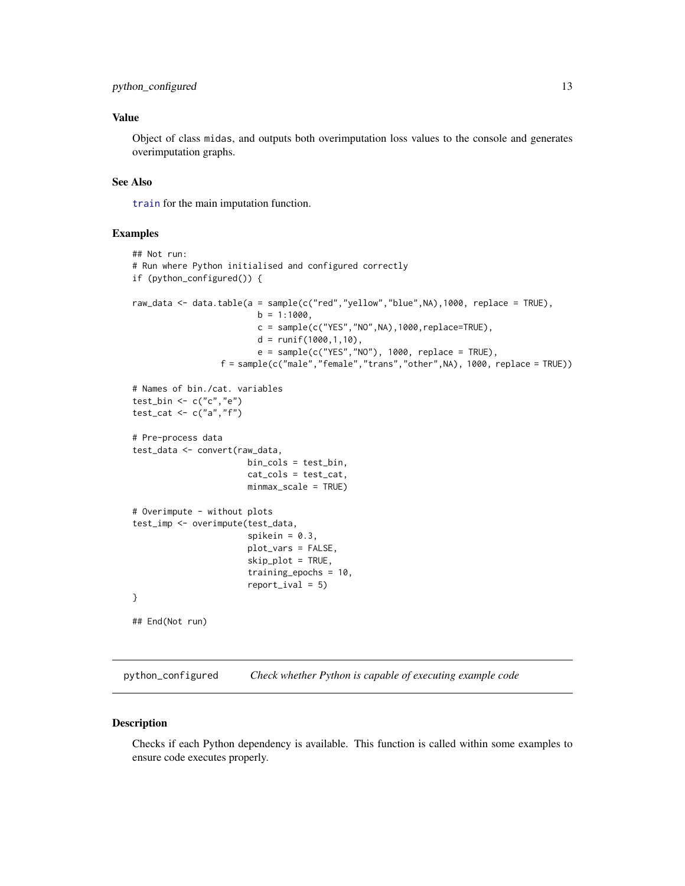#### <span id="page-12-0"></span>Value

Object of class midas, and outputs both overimputation loss values to the console and generates overimputation graphs.

#### See Also

[train](#page-14-1) for the main imputation function.

#### Examples

```
## Not run:
# Run where Python initialised and configured correctly
if (python_configured()) {
raw_data <- data.table(a = sample(c("red","yellow","blue",NA),1000, replace = TRUE),
                         b = 1:1000,
                         c = sample(c("YES", "NO", NA), 1000, replace=TRUE),d = runif(1000,1,10),
                         e = sample(c("YES", "NO"), 1000, replace = TRUE),f = sample(c("male","female","trans","other",NA), 1000, replace = TRUE))
# Names of bin./cat. variables
test_bin <- c("c","e")
test_cat \leq c("a","f")
# Pre-process data
test_data <- convert(raw_data,
                       bin_cols = test_bin,
                       cat_cols = test_cat,
                       minmax_scale = TRUE)
# Overimpute - without plots
test_imp <- overimpute(test_data,
                       spikein = 0.3,
                       plot_vars = FALSE,
                       skip_plot = TRUE,
                       training_epochs = 10,
                       report\_ival = 5)}
## End(Not run)
```
python\_configured *Check whether Python is capable of executing example code*

#### Description

Checks if each Python dependency is available. This function is called within some examples to ensure code executes properly.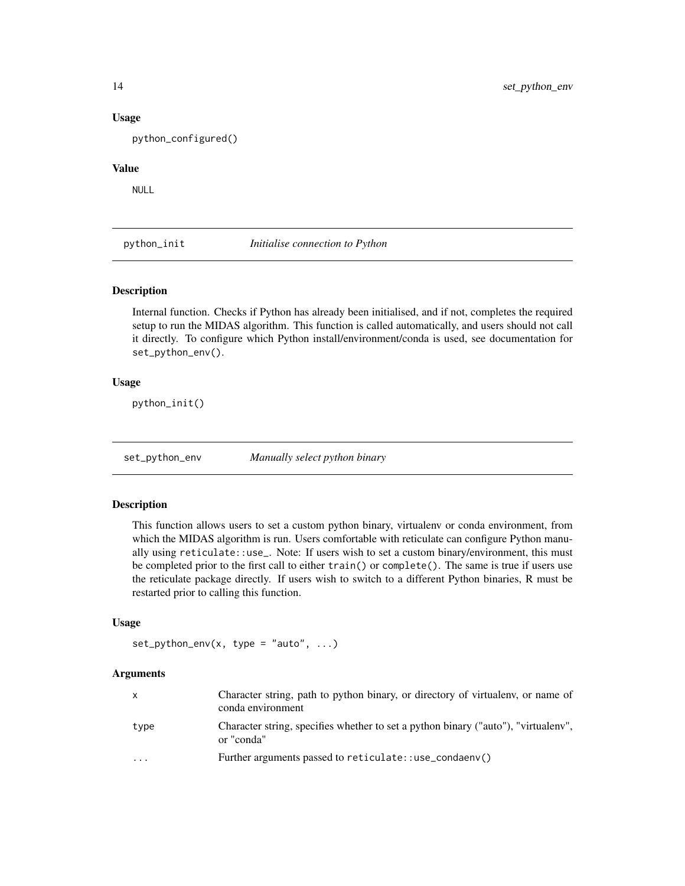#### Usage

python\_configured()

#### Value

NULL

python\_init *Initialise connection to Python*

#### Description

Internal function. Checks if Python has already been initialised, and if not, completes the required setup to run the MIDAS algorithm. This function is called automatically, and users should not call it directly. To configure which Python install/environment/conda is used, see documentation for set\_python\_env().

#### Usage

python\_init()

set\_python\_env *Manually select python binary*

#### Description

This function allows users to set a custom python binary, virtualenv or conda environment, from which the MIDAS algorithm is run. Users comfortable with reticulate can configure Python manually using reticulate::use\_. Note: If users wish to set a custom binary/environment, this must be completed prior to the first call to either train() or complete(). The same is true if users use the reticulate package directly. If users wish to switch to a different Python binaries, R must be restarted prior to calling this function.

#### Usage

```
set\_python\_env(x, type = "auto", ...)
```
#### **Arguments**

| $\mathsf{X}$ | Character string, path to python binary, or directory of virtualeny, or name of<br>conda environment |
|--------------|------------------------------------------------------------------------------------------------------|
| type         | Character string, specifies whether to set a python binary ("auto"), "virtualeny",<br>or "conda"     |
| $\cdots$     | Further arguments passed to reticulate::use_condaenv()                                               |

<span id="page-13-0"></span>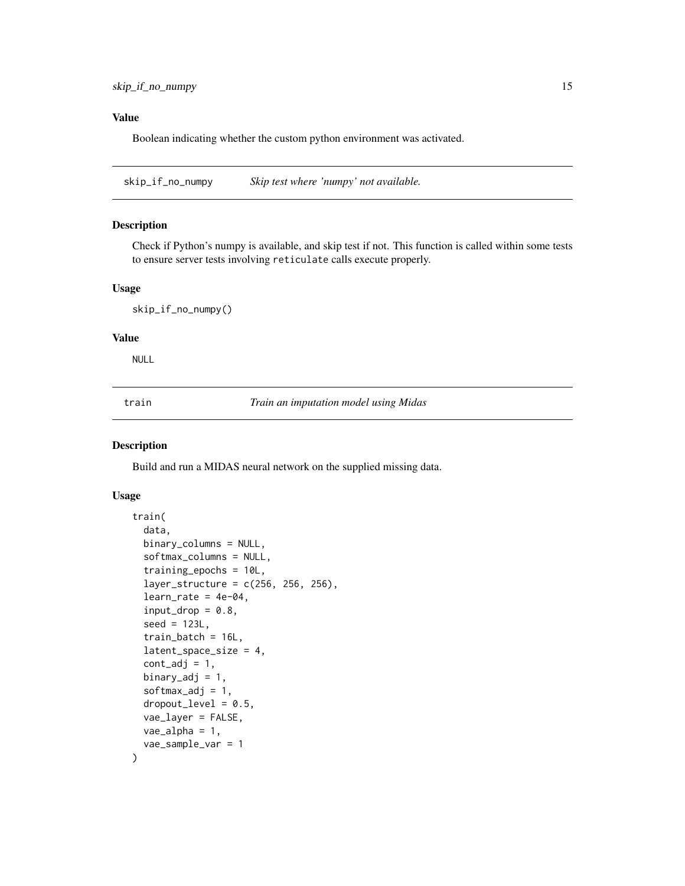#### <span id="page-14-0"></span>Value

Boolean indicating whether the custom python environment was activated.

skip\_if\_no\_numpy *Skip test where 'numpy' not available.*

#### Description

Check if Python's numpy is available, and skip test if not. This function is called within some tests to ensure server tests involving reticulate calls execute properly.

#### Usage

skip\_if\_no\_numpy()

#### Value

NULL

<span id="page-14-1"></span>train *Train an imputation model using Midas*

#### Description

Build and run a MIDAS neural network on the supplied missing data.

#### Usage

```
train(
  data,
 binary_columns = NULL,
  softmax_columns = NULL,
  training_epochs = 10L,
  layer_structure = c(256, 256, 256),
  learn_rate = 4e-04,input\_drop = 0.8,
  seed = 123L,train_batch = 16L,
  latent_space_size = 4,
  cont\_adj = 1,
  binary_adj = 1,
  softmax_adj = 1,
  droput\_level = 0.5,
  vae_layer = FALSE,
  vae\_alpha = 1,
  vae_sample_var = 1
)
```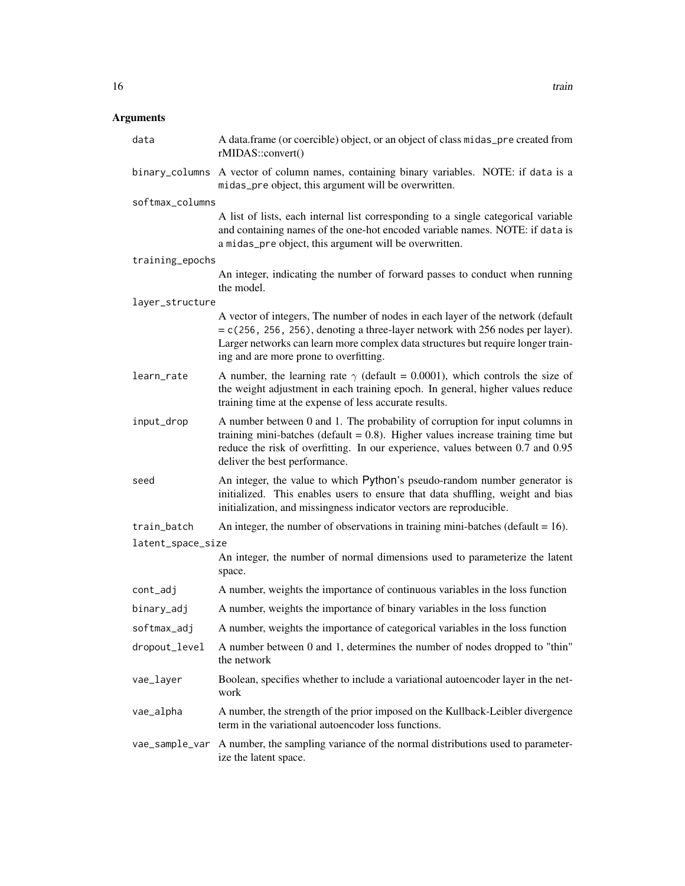#### Arguments

| data              | A data.frame (or coercible) object, or an object of class midas_pre created from<br>rMIDAS::convert()                                                                                                                                                                                             |  |
|-------------------|---------------------------------------------------------------------------------------------------------------------------------------------------------------------------------------------------------------------------------------------------------------------------------------------------|--|
|                   | binary_columns A vector of column names, containing binary variables. NOTE: if data is a<br>midas_pre object, this argument will be overwritten.                                                                                                                                                  |  |
| softmax_columns   |                                                                                                                                                                                                                                                                                                   |  |
|                   | A list of lists, each internal list corresponding to a single categorical variable<br>and containing names of the one-hot encoded variable names. NOTE: if data is<br>a midas_pre object, this argument will be overwritten.                                                                      |  |
| training_epochs   |                                                                                                                                                                                                                                                                                                   |  |
|                   | An integer, indicating the number of forward passes to conduct when running<br>the model.                                                                                                                                                                                                         |  |
| layer_structure   |                                                                                                                                                                                                                                                                                                   |  |
|                   | A vector of integers, The number of nodes in each layer of the network (default<br>$= c(256, 256, 256)$ , denoting a three-layer network with 256 nodes per layer).<br>Larger networks can learn more complex data structures but require longer train-<br>ing and are more prone to overfitting. |  |
| learn_rate        | A number, the learning rate $\gamma$ (default = 0.0001), which controls the size of<br>the weight adjustment in each training epoch. In general, higher values reduce<br>training time at the expense of less accurate results.                                                                   |  |
| input_drop        | A number between 0 and 1. The probability of corruption for input columns in<br>training mini-batches (default $= 0.8$ ). Higher values increase training time but<br>reduce the risk of overfitting. In our experience, values between 0.7 and 0.95<br>deliver the best performance.             |  |
| seed              | An integer, the value to which Python's pseudo-random number generator is<br>initialized. This enables users to ensure that data shuffling, weight and bias<br>initialization, and missingness indicator vectors are reproducible.                                                                |  |
| train_batch       | An integer, the number of observations in training mini-batches (default = $16$ ).                                                                                                                                                                                                                |  |
| latent_space_size |                                                                                                                                                                                                                                                                                                   |  |
|                   | An integer, the number of normal dimensions used to parameterize the latent<br>space.                                                                                                                                                                                                             |  |
| cont_adj          | A number, weights the importance of continuous variables in the loss function                                                                                                                                                                                                                     |  |
| binary_adj        | A number, weights the importance of binary variables in the loss function                                                                                                                                                                                                                         |  |
| softmax_adj       | A number, weights the importance of categorical variables in the loss function                                                                                                                                                                                                                    |  |
| dropout_level     | A number between 0 and 1, determines the number of nodes dropped to "thin"<br>the network                                                                                                                                                                                                         |  |
| vae_layer         | Boolean, specifies whether to include a variational autoencoder layer in the net-<br>work                                                                                                                                                                                                         |  |
| vae_alpha         | A number, the strength of the prior imposed on the Kullback-Leibler divergence<br>term in the variational autoencoder loss functions.                                                                                                                                                             |  |
| vae_sample_var    | A number, the sampling variance of the normal distributions used to parameter-<br>ize the latent space.                                                                                                                                                                                           |  |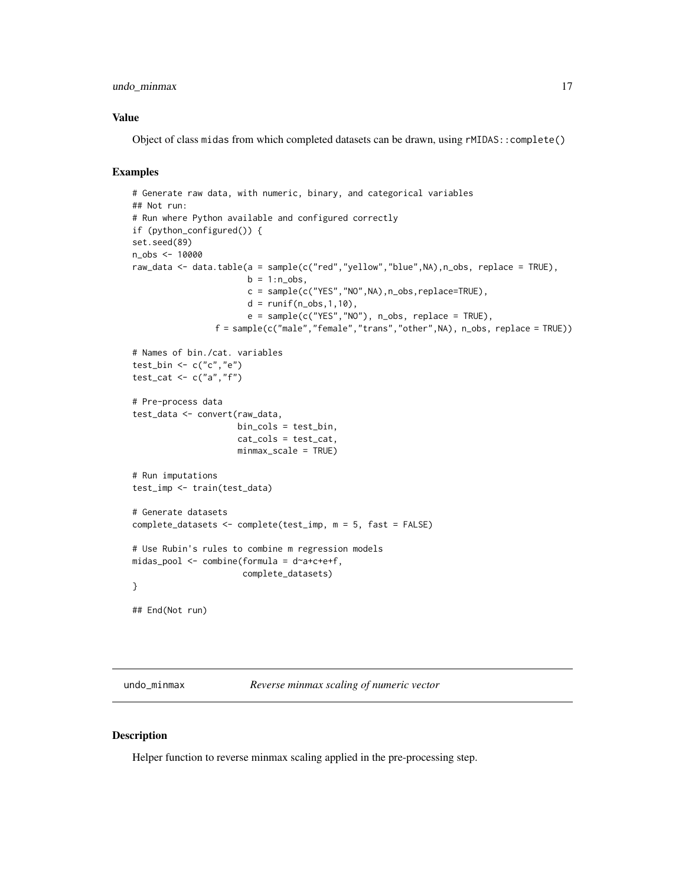#### <span id="page-16-0"></span>undo\_minmax 17

#### Value

Object of class midas from which completed datasets can be drawn, using rMIDAS::complete()

#### Examples

```
# Generate raw data, with numeric, binary, and categorical variables
## Not run:
# Run where Python available and configured correctly
if (python_configured()) {
set.seed(89)
n_obs <- 10000
raw_data <- data.table(a = sample(c("red","yellow","blue",NA),n_obs, replace = TRUE),
                       b = 1:n\_obs,
                       c = sample(c("YES", "NO", NA), n\_obs, replace=TRUE),d = runif(n_obs, 1, 10),
                       e = sample(c("YES", "NO"), n\_obs, replace = TRUE),
                 f = sample(c("male","female","trans","other",NA), n_obs, replace = TRUE))
# Names of bin./cat. variables
test_bin <- c("c","e")
test_cat <- c("a","f")
# Pre-process data
test_data <- convert(raw_data,
                     bin_cols = test_bin,
                     cat_cols = test_cat,
                     minmax_scale = TRUE)
# Run imputations
test_imp <- train(test_data)
# Generate datasets
complete_datasets <- complete(test_imp, m = 5, fast = FALSE)
# Use Rubin's rules to combine m regression models
midas_pool <- combine(formula = d~a+c+e+f,
                      complete_datasets)
}
## End(Not run)
```
undo\_minmax *Reverse minmax scaling of numeric vector*

#### Description

Helper function to reverse minmax scaling applied in the pre-processing step.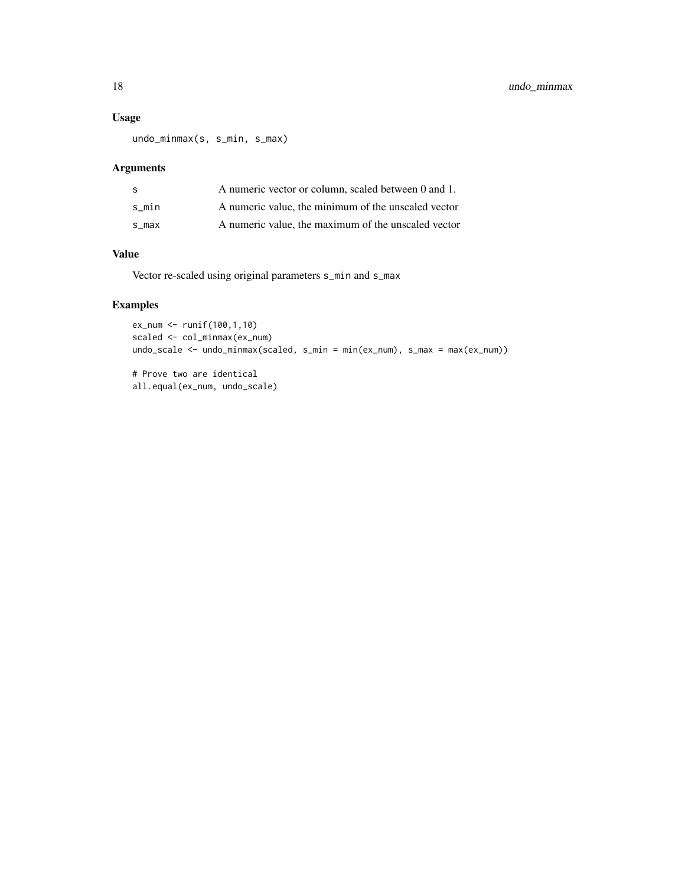#### Usage

undo\_minmax(s, s\_min, s\_max)

#### Arguments

| -S    | A numeric vector or column, scaled between 0 and 1. |
|-------|-----------------------------------------------------|
| s min | A numeric value, the minimum of the unscaled vector |
| s max | A numeric value, the maximum of the unscaled vector |

#### Value

Vector re-scaled using original parameters s\_min and s\_max

#### Examples

```
ex_num <- runif(100,1,10)
scaled <- col_minmax(ex_num)
undo_scale <- undo_minmax(scaled, s_min = min(ex_num), s_max = max(ex_num))
```
# Prove two are identical all.equal(ex\_num, undo\_scale)